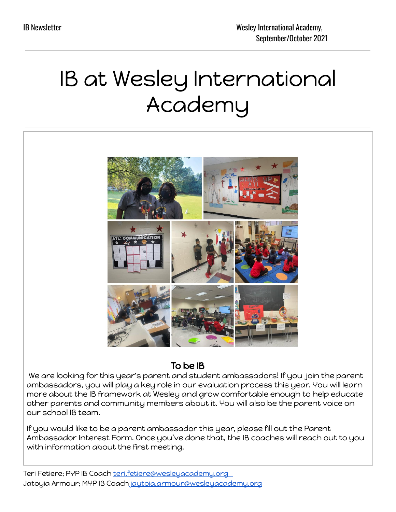# IB at Wesley International Academy



# To be IB

We are looking for this year's parent and student ambassadors! If you join the parent ambassadors, you will play a key role in our evaluation process this year. You will learn more about the IB framework at Wesley and grow comfortable enough to help educate other parents and community members about it. You will also be the parent voice on our school IB team.

If you would like to be a parent ambassador this year, please fill out the Parent Ambassador Interest Form. Once you've done that, the IB coaches will reach out to you with information about the first meeting.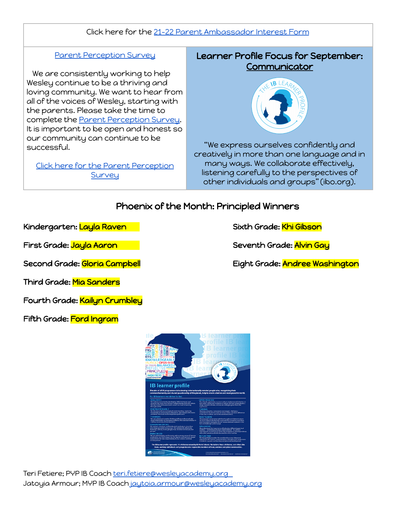#### Click here for the 21-22 Parent [Ambassador](https://docs.google.com/forms/d/e/1FAIpQLSc9Qoe7hJnl60koyJ8t3OBo5Yk0DIH5Th2H-wFkWK06bQIZmQ/viewform?usp=sf_link) Interest Form

#### Parent [Perception](https://docs.google.com/forms/d/e/1FAIpQLScdUVnD_NbhiAaEAsfDa-TYJgNDemD5CDT45flrw5iQJ-Bakg/viewform?usp=sf_link) Survey

We are consistently working to help Wesley continue to be a thriving and loving community. We want to hear from all of the voices of Wesley, starting with the parents. Please take the time to complete the Parent [Perception](https://docs.google.com/forms/d/e/1FAIpQLScdUVnD_NbhiAaEAsfDa-TYJgNDemD5CDT45flrw5iQJ-Bakg/viewform?usp=sf_link) Survey. It is important to be open and honest so our community can continue to be successful.

Click here for the Parent [Perception](https://docs.google.com/forms/d/e/1FAIpQLScdUVnD_NbhiAaEAsfDa-TYJgNDemD5CDT45flrw5iQJ-Bakg/viewform?usp=sf_link) **[Survey](https://docs.google.com/forms/d/e/1FAIpQLScdUVnD_NbhiAaEAsfDa-TYJgNDemD5CDT45flrw5iQJ-Bakg/viewform?usp=sf_link)** 

## Learner Profile Focus for September: **Communicator**



"We express ourselves confidently and creatively in more than one language and in many ways. We collaborate effectively, listening carefully to the perspectives of other individuals and groups" (ibo.org).

## Phoenix of the Month: Principled Winners

Kindergarten: <mark>Layla Raven States States Sixth Grade: Khi Gibson</mark>

Third Grade: Mia Sanders

Fourth Grade: Kailyn Crumbley

Fifth Grade: Ford Ingram



First Grade: <mark>Jayla Aaron Seventh Grade: Alvin Gay</mark>

Second Grade: <mark>Gloria Campbell</mark> Eight Grade: Andree Washington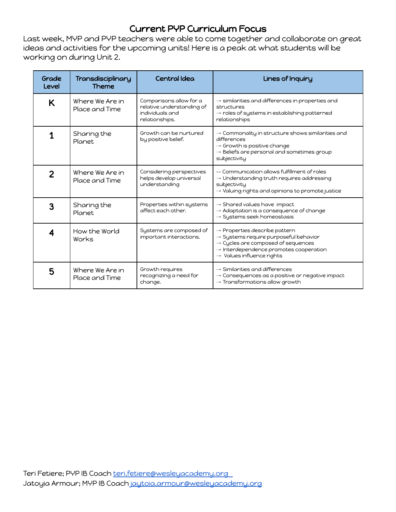# Current PYP Curriculum Focus

Last week, MYP and PYP teachers were able to come together and collaborate on great ideas and activities for the upcoming units! Here is a peak at what students will be working on during Unit 2.

| Grade<br>Level | Transdisciplinary<br><b>Theme</b> | Central Idea                                                                              | Lines of Inquiry                                                                                                                                                                                                                                |
|----------------|-----------------------------------|-------------------------------------------------------------------------------------------|-------------------------------------------------------------------------------------------------------------------------------------------------------------------------------------------------------------------------------------------------|
| K              | Where We Are in<br>Place and Time | Comparisons allow for a<br>relative understanding of<br>individuals and<br>relationships. | $\rightarrow$ similarities and differences in properties and<br>structures<br>$\rightarrow$ roles of systems in establishing patterned<br>relationships                                                                                         |
| 1              | Sharing the<br>Planet             | Growth can be nurtured<br>by positive belief.                                             | $\rightarrow$ Commonality in structure shows similarities and<br>differences<br>$\rightarrow$ Growth is positive change<br>$\rightarrow$ Beliefs are personal and sometimes group<br>subjectivity                                               |
| $\overline{2}$ | Where We Are in<br>Place and Time | Considering perspectives<br>helps develop universal<br>understanding                      | -- Communication allows fulfillment of roles<br>$\rightarrow$ Understanding truth requires addressing<br>subjectivity<br>$\rightarrow$ Valuing rights and opinions to promote justice                                                           |
| 3              | Sharing the<br>Planet             | Properties within systems<br>affect each other.                                           | $\rightarrow$ Shared values have impact<br>$\rightarrow$ Adaptation is a consequence of change<br>$\rightarrow$ Systems seek homeostasis                                                                                                        |
| 4              | How the World<br>Works            | Systems are composed of<br>important interactions.                                        | $\rightarrow$ Properties describe pattern<br>$\rightarrow$ Systems require purposeful behavior<br>$\rightarrow$ Cycles are composed of sequences<br>$\rightarrow$ Interdependence promotes cooperation<br>$\rightarrow$ Values influence rights |
| 5              | Where We Are in<br>Place and Time | Growth requires<br>recognizing a need for<br>change.                                      | $\rightarrow$ Similarities and differences<br>$\rightarrow$ Consequences as a positive or negative impact<br>$\rightarrow$ Transformations allow growth                                                                                         |